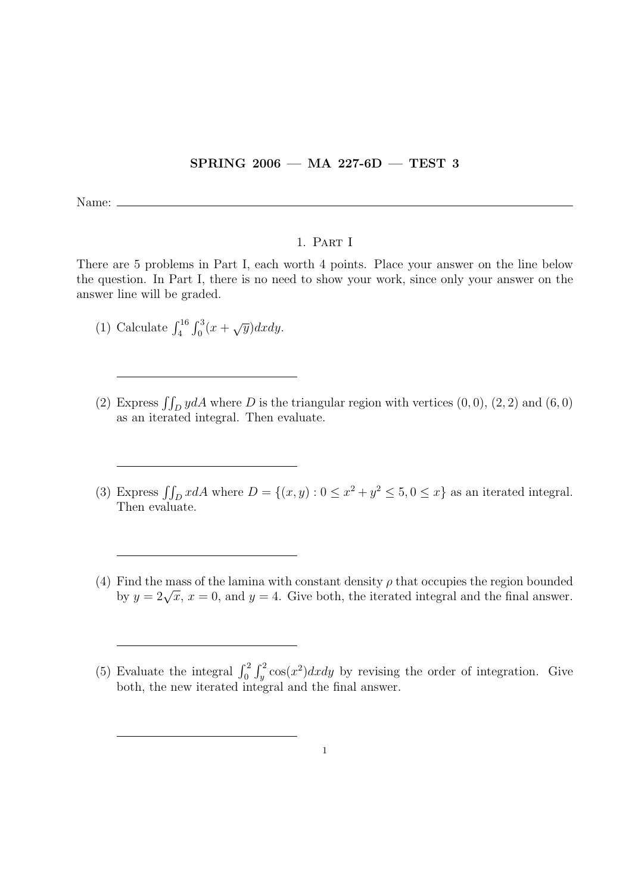## SPRING 2006 — MA 227-6D — TEST 3

Name:

## 1. Part I

There are 5 problems in Part I, each worth 4 points. Place your answer on the line below the question. In Part I, there is no need to show your work, since only your answer on the answer line will be graded.

- (1) Calculate  $\int_{4}^{16} \int_{0}^{3} (x + \sqrt{y}) dx dy$ .
- (2) Express  $\iint_D y dA$  where D is the triangular region with vertices  $(0, 0)$ ,  $(2, 2)$  and  $(6, 0)$ as an iterated integral. Then evaluate.
- (3) Express  $\iint_D x dA$  where  $D = \{(x, y) : 0 \le x^2 + y^2 \le 5, 0 \le x\}$  as an iterated integral. Then evaluate.
- (4) Find the mass of the lamina with constant density  $\rho$  that occupies the region bounded Find the mass of the familia with constant density  $\rho$  that occupies the region bounded<br>by  $y = 2\sqrt{x}$ ,  $x = 0$ , and  $y = 4$ . Give both, the iterated integral and the final answer.

<sup>(5)</sup> Evaluate the integral  $\int_0^2 \int_y^2 \cos(x^2) dx dy$  by revising the order of integration. Give both, the new iterated integral and the final answer.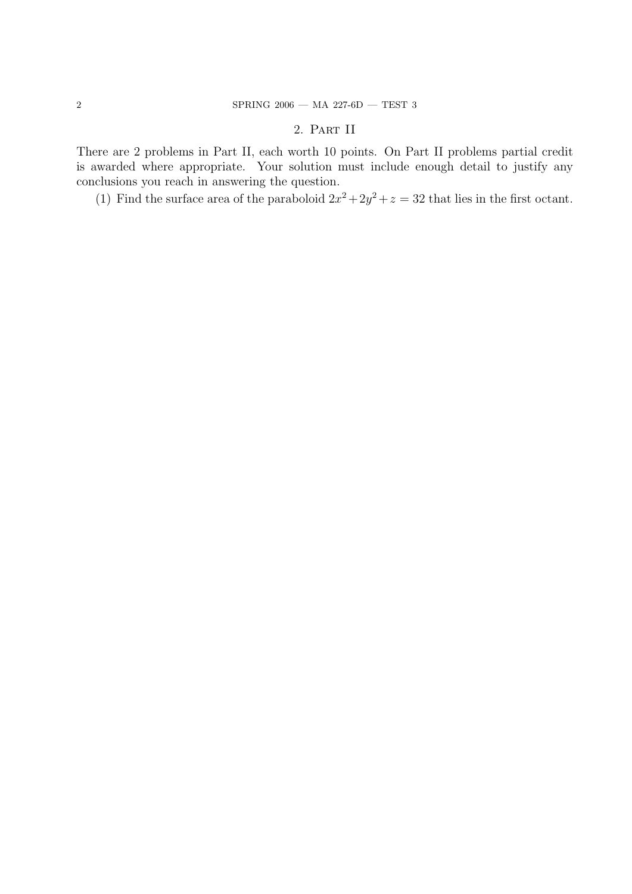## 2. Part II

There are 2 problems in Part II, each worth 10 points. On Part II problems partial credit is awarded where appropriate. Your solution must include enough detail to justify any conclusions you reach in answering the question.

(1) Find the surface area of the paraboloid  $2x^2 + 2y^2 + z = 32$  that lies in the first octant.